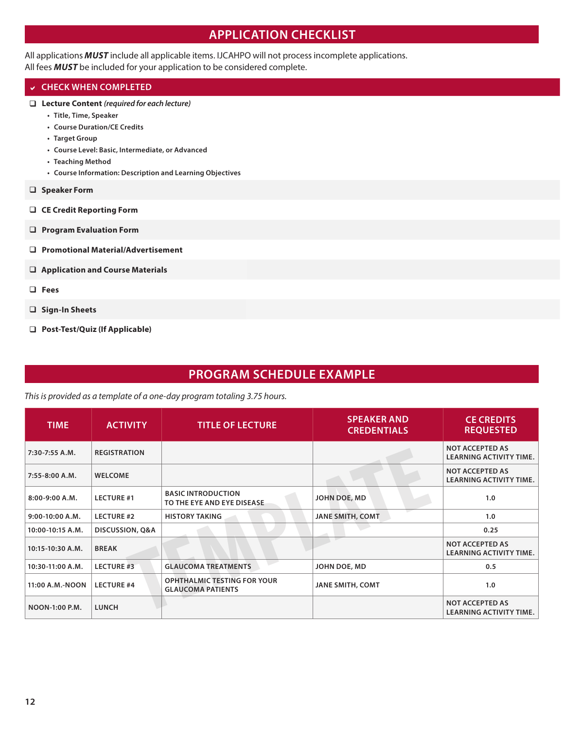# **APPLICATION CHECKLIST**

All applications *MUST* include all applicable items. IJCAHPO will not process incomplete applications.

All fees *MUST* be included for your application to be considered complete.

# **CHECK WHEN COMPLETED**

- **Lecture Content** *(required for each lecture)*
	- **• Title, Time, Speaker**
	- **• Course Duration/CE Credits**
	- **• Target Group**
	- **• Course Level: Basic, Intermediate, or Advanced**
	- **• Teaching Method**
	- **• Course Information: Description and Learning Objectives**
- **Speaker Form**
- **CE Credit Reporting Form**
- **Program Evaluation Form**
- **Promotional Material/Advertisement**
- **Application and Course Materials**
- **Fees**
- **Sign-In Sheets**
- **Post-Test/Quiz (If Applicable)**

# **PROGRAM SCHEDULE EXAMPLE**

*This is provided as a template of a one-day program totaling 3.75 hours.* 

| <b>TIME</b>           | <b>ACTIVITY</b>     | <b>TITLE OF LECTURE</b>                                        | <b>SPEAKER AND</b><br><b>CREDENTIALS</b> | <b>CE CREDITS</b><br><b>REQUESTED</b>                    |
|-----------------------|---------------------|----------------------------------------------------------------|------------------------------------------|----------------------------------------------------------|
| 7:30-7:55 A.M.        | <b>REGISTRATION</b> |                                                                |                                          | <b>NOT ACCEPTED AS</b><br><b>LEARNING ACTIVITY TIME.</b> |
| $7:55 - 8:00 A.M.$    | <b>WELCOME</b>      |                                                                |                                          | <b>NOT ACCEPTED AS</b><br><b>LEARNING ACTIVITY TIME.</b> |
| 8:00-9:00 A.M.        | <b>LECTURE #1</b>   | <b>BASIC INTRODUCTION</b><br>TO THE EYE AND EYE DISEASE.       | JOHN DOE, MD                             | 1.0                                                      |
| $9:00-10:00 A.M.$     | <b>LECTURE #2</b>   | <b>HISTORY TAKING</b>                                          | <b>JANE SMITH, COMT</b>                  | 1.0                                                      |
| 10:00-10:15 A.M.      | DISCUSSION, Q&A     |                                                                |                                          | 0.25                                                     |
| 10:15-10:30 A.M.      | <b>BREAK</b>        |                                                                |                                          | <b>NOT ACCEPTED AS</b><br><b>LEARNING ACTIVITY TIME.</b> |
| 10:30-11:00 A.M.      | <b>LECTURE #3</b>   | <b>GLAUCOMA TREATMENTS</b>                                     | JOHN DOE, MD                             | 0.5                                                      |
| 11:00 A.M.-NOON       | <b>LECTURE #4</b>   | <b>OPHTHALMIC TESTING FOR YOUR</b><br><b>GLAUCOMA PATIENTS</b> | <b>JANE SMITH, COMT</b>                  | 1.0                                                      |
| <b>NOON-1:00 P.M.</b> | <b>LUNCH</b>        |                                                                |                                          | <b>NOT ACCEPTED AS</b><br><b>LEARNING ACTIVITY TIME.</b> |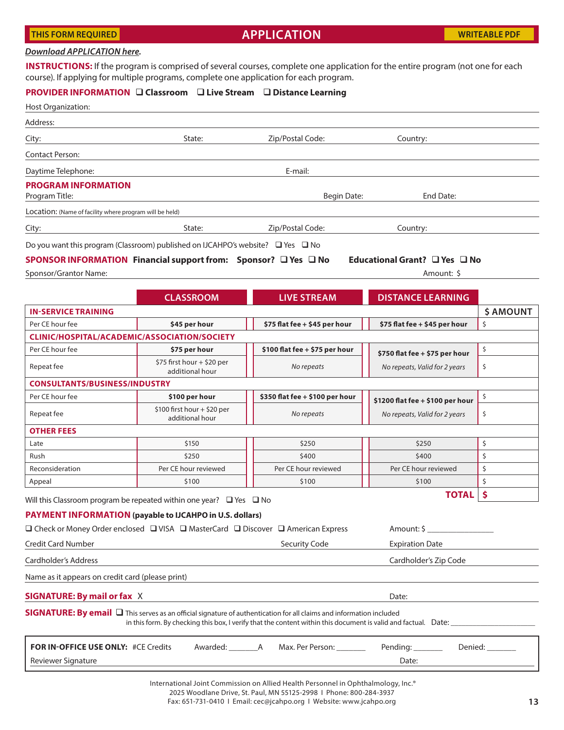#### **THIS FORM REQUIRED**

# **APPLICATION**

#### *[Download APPLICATION here](https://documents.jcahpo.org/documents/education/Application_And_Speaker_Form_IJCAHPO_CEC_Handbook_2020.pdf).*

**INSTRUCTIONS:** If the program is comprised of several courses, complete one application for the entire program (not one for each course). If applying for multiple programs, complete one application for each program.

### **PROVIDER INFORMATION Classroom Live Stream Distance Learning**

| Host Organization:                                                                |                                                 |                                                                                                                                                                                                                                                    |                                         |                 |  |  |  |  |  |  |
|-----------------------------------------------------------------------------------|-------------------------------------------------|----------------------------------------------------------------------------------------------------------------------------------------------------------------------------------------------------------------------------------------------------|-----------------------------------------|-----------------|--|--|--|--|--|--|
| Address:                                                                          |                                                 |                                                                                                                                                                                                                                                    |                                         |                 |  |  |  |  |  |  |
| City:                                                                             | State:                                          | Zip/Postal Code:                                                                                                                                                                                                                                   | Country:                                |                 |  |  |  |  |  |  |
| <b>Contact Person:</b>                                                            |                                                 |                                                                                                                                                                                                                                                    |                                         |                 |  |  |  |  |  |  |
| Daytime Telephone:                                                                |                                                 | E-mail:                                                                                                                                                                                                                                            |                                         |                 |  |  |  |  |  |  |
| <b>PROGRAM INFORMATION</b><br>Program Title:                                      |                                                 | Begin Date:                                                                                                                                                                                                                                        | End Date:                               |                 |  |  |  |  |  |  |
| Location: (Name of facility where program will be held)                           |                                                 |                                                                                                                                                                                                                                                    |                                         |                 |  |  |  |  |  |  |
| City:                                                                             | State:<br>Zip/Postal Code:<br>Country:          |                                                                                                                                                                                                                                                    |                                         |                 |  |  |  |  |  |  |
| Do you want this program (Classroom) published on IJCAHPO's website? □ Yes □ No   |                                                 |                                                                                                                                                                                                                                                    |                                         |                 |  |  |  |  |  |  |
| SPONSOR INFORMATION Financial support from: Sponsor? □ Yes □ No                   |                                                 |                                                                                                                                                                                                                                                    | Educational Grant? $\Box$ Yes $\Box$ No |                 |  |  |  |  |  |  |
| Sponsor/Grantor Name:                                                             |                                                 |                                                                                                                                                                                                                                                    | Amount: \$                              |                 |  |  |  |  |  |  |
|                                                                                   |                                                 |                                                                                                                                                                                                                                                    |                                         |                 |  |  |  |  |  |  |
|                                                                                   | <b>CLASSROOM</b>                                | <b>LIVE STREAM</b>                                                                                                                                                                                                                                 | <b>DISTANCE LEARNING</b>                |                 |  |  |  |  |  |  |
| <b>IN-SERVICE TRAINING</b>                                                        |                                                 |                                                                                                                                                                                                                                                    |                                         | <b>\$AMOUNT</b> |  |  |  |  |  |  |
| Per CE hour fee                                                                   | \$45 per hour                                   | \$75 flat fee + \$45 per hour                                                                                                                                                                                                                      | \$75 flat fee + \$45 per hour           | \$              |  |  |  |  |  |  |
| CLINIC/HOSPITAL/ACADEMIC/ASSOCIATION/SOCIETY                                      |                                                 |                                                                                                                                                                                                                                                    |                                         |                 |  |  |  |  |  |  |
| Per CE hour fee                                                                   | \$75 per hour                                   | \$100 flat fee + \$75 per hour                                                                                                                                                                                                                     | \$750 flat fee $+$ \$75 per hour        | \$              |  |  |  |  |  |  |
| Repeat fee                                                                        | \$75 first hour $+$ \$20 per<br>additional hour | No repeats                                                                                                                                                                                                                                         | No repeats, Valid for 2 years           | \$              |  |  |  |  |  |  |
| <b>CONSULTANTS/BUSINESS/INDUSTRY</b>                                              |                                                 |                                                                                                                                                                                                                                                    |                                         |                 |  |  |  |  |  |  |
| Per CE hour fee                                                                   | \$100 per hour                                  | \$350 flat fee + \$100 per hour                                                                                                                                                                                                                    | \$1200 flat fee + \$100 per hour        | \$              |  |  |  |  |  |  |
| Repeat fee                                                                        | $$100$ first hour + \$20 per<br>additional hour | No repeats                                                                                                                                                                                                                                         | No repeats, Valid for 2 years           | \$              |  |  |  |  |  |  |
| <b>OTHER FEES</b>                                                                 |                                                 |                                                                                                                                                                                                                                                    |                                         |                 |  |  |  |  |  |  |
| Late                                                                              | \$150                                           | \$250                                                                                                                                                                                                                                              | \$250                                   | \$              |  |  |  |  |  |  |
| Rush                                                                              | \$250                                           | \$400                                                                                                                                                                                                                                              | \$400                                   | \$              |  |  |  |  |  |  |
| Reconsideration                                                                   | Per CE hour reviewed                            | Per CE hour reviewed                                                                                                                                                                                                                               | Per CE hour reviewed                    | \$              |  |  |  |  |  |  |
| Appeal                                                                            | \$100                                           | \$100                                                                                                                                                                                                                                              | \$100                                   | \$              |  |  |  |  |  |  |
| Will this Classroom program be repeated within one year? $\Box$ Yes $\Box$ No     |                                                 |                                                                                                                                                                                                                                                    | <b>TOTAL</b>                            | \$              |  |  |  |  |  |  |
| PAYMENT INFORMATION (payable to IJCAHPO in U.S. dollars)                          |                                                 |                                                                                                                                                                                                                                                    |                                         |                 |  |  |  |  |  |  |
| □ Check or Money Order enclosed □ VISA □ MasterCard □ Discover □ American Express |                                                 |                                                                                                                                                                                                                                                    | $Amount: \frac{1}{2}$                   |                 |  |  |  |  |  |  |
| Credit Card Number                                                                |                                                 | Security Code                                                                                                                                                                                                                                      | <b>Expiration Date</b>                  |                 |  |  |  |  |  |  |
| Cardholder's Address                                                              |                                                 |                                                                                                                                                                                                                                                    | Cardholder's Zip Code                   |                 |  |  |  |  |  |  |
| Name as it appears on credit card (please print)                                  |                                                 |                                                                                                                                                                                                                                                    |                                         |                 |  |  |  |  |  |  |
| <b>SIGNATURE: By mail or fax X</b>                                                |                                                 |                                                                                                                                                                                                                                                    | Date:                                   |                 |  |  |  |  |  |  |
|                                                                                   |                                                 |                                                                                                                                                                                                                                                    |                                         |                 |  |  |  |  |  |  |
|                                                                                   |                                                 | <b>SIGNATURE: By email</b> $\Box$ This serves as an official signature of authentication for all claims and information included<br>in this form. By checking this box, I verify that the content within this document is valid and factual. Date: |                                         |                 |  |  |  |  |  |  |
| FOR IN-OFFICE USE ONLY: #CE Credits                                               | Awarded: _____________A                         | Max. Per Person: ________                                                                                                                                                                                                                          | Pending: _______                        | Denied: Denied: |  |  |  |  |  |  |
| Reviewer Signature                                                                |                                                 |                                                                                                                                                                                                                                                    | Date:                                   |                 |  |  |  |  |  |  |
|                                                                                   |                                                 |                                                                                                                                                                                                                                                    |                                         |                 |  |  |  |  |  |  |

International Joint Commission on Allied Health Personnel in Ophthalmology, Inc.®

2025 Woodlane Drive, St. Paul, MN 55125-2998 І Phone: 800-284-3937

Fax: 651-731-0410 І Email: [cec@jcahpo.org](mailto:cec%40jcahpo.org?subject=) І Website: [www.jcahpo.org](http://www.jcahpo.org)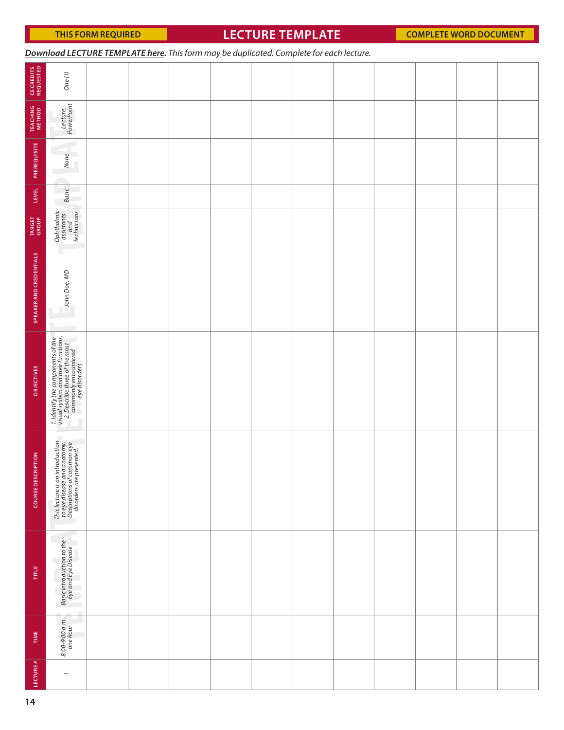# **LECTURE TEMPLATE**

| Download LECTURE TEMPLATE here. This form may be duplicated. Complete for each lecture. |  |  |
|-----------------------------------------------------------------------------------------|--|--|
|-----------------------------------------------------------------------------------------|--|--|

| <b>CE CREDITS<br/>REQUESTED</b>      | $One(1)$                                                                                                                                             |  |  |  |  |  |  |
|--------------------------------------|------------------------------------------------------------------------------------------------------------------------------------------------------|--|--|--|--|--|--|
| <b>TEACHING</b><br>METHOD            | Lecture,<br>PowerPoint                                                                                                                               |  |  |  |  |  |  |
| PREREQUISITE                         | n.<br>U<br>None                                                                                                                                      |  |  |  |  |  |  |
| LEVEL                                | <b>Basic</b><br>U<br>a,                                                                                                                              |  |  |  |  |  |  |
| TARGET<br>GROUP                      | Ophthalmic<br>assistants<br>technicians<br>technicians                                                                                               |  |  |  |  |  |  |
| SPEAKER AND CREDENTIALS              | ш<br>John Doe, MD<br>٣                                                                                                                               |  |  |  |  |  |  |
| OBJECTIVES                           | 1. Identify the components of the<br>visual system and their functions.<br>2. Describe three of the most<br>component experimented<br>we edisorders. |  |  |  |  |  |  |
| <b>CRIPTION</b><br><b>COURSE DES</b> | ٠<br>This lecture is an introduction<br>to eye disease and anatomy.<br>Descriptions of common eye<br>disorders are presented.                        |  |  |  |  |  |  |
| TITLE                                | Basic Introduction to the<br>Eye and Eye Disease<br>٦                                                                                                |  |  |  |  |  |  |
| TIME                                 | 8:00-9:00 a.m.,<br>one hour                                                                                                                          |  |  |  |  |  |  |
| LECTURE#                             | $\overline{\phantom{a}}$                                                                                                                             |  |  |  |  |  |  |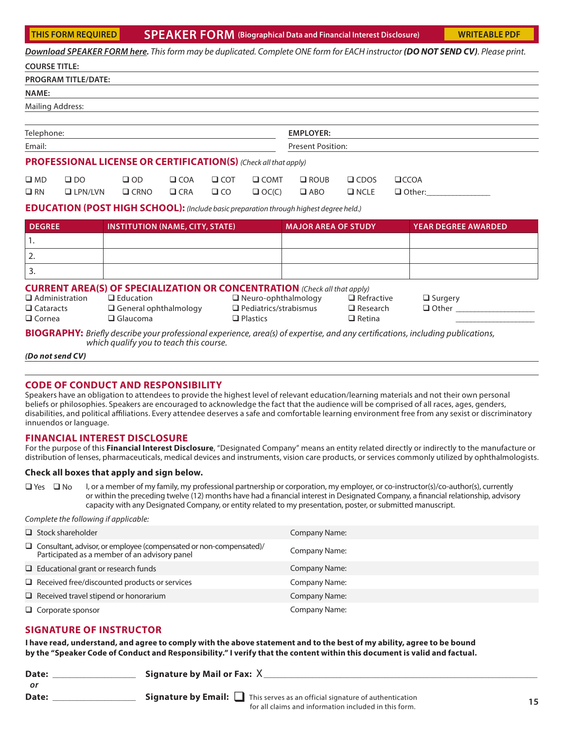**SPEAKER FORM (Biographical Data and Financial Interest Disclosure) THIS FORM REQUIRED [WRITEABLE PDF](https://documents.jcahpo.org/documents/education/Speaker_Form_IJCAHPO_CEC_Handbook_2020.pdf)**

|                                                            |                            |                                                                                                                                                         |            |            |                                                                               |                            |                                                       |      | Download SPEAKER FORM here. This form may be duplicated. Complete ONE form for EACH instructor (DO NOT SEND CV). Please print.         |
|------------------------------------------------------------|----------------------------|---------------------------------------------------------------------------------------------------------------------------------------------------------|------------|------------|-------------------------------------------------------------------------------|----------------------------|-------------------------------------------------------|------|----------------------------------------------------------------------------------------------------------------------------------------|
| <b>COURSE TITLE:</b>                                       |                            |                                                                                                                                                         |            |            |                                                                               |                            |                                                       |      |                                                                                                                                        |
|                                                            | <b>PROGRAM TITLE/DATE:</b> |                                                                                                                                                         |            |            |                                                                               |                            |                                                       |      |                                                                                                                                        |
| <b>NAME:</b>                                               |                            |                                                                                                                                                         |            |            |                                                                               |                            |                                                       |      |                                                                                                                                        |
| <b>Mailing Address:</b>                                    |                            |                                                                                                                                                         |            |            |                                                                               |                            |                                                       |      |                                                                                                                                        |
|                                                            |                            |                                                                                                                                                         |            |            |                                                                               | <b>EMPLOYER:</b>           |                                                       |      |                                                                                                                                        |
| Telephone:                                                 |                            |                                                                                                                                                         |            |            |                                                                               |                            |                                                       |      |                                                                                                                                        |
| Email:                                                     |                            |                                                                                                                                                         |            |            |                                                                               | <b>Present Position:</b>   |                                                       |      |                                                                                                                                        |
|                                                            |                            | <b>PROFESSIONAL LICENSE OR CERTIFICATION(S)</b> (Check all that apply)                                                                                  |            |            |                                                                               |                            |                                                       |      |                                                                                                                                        |
| $\square$ MD                                               | $\square$ DO               | $\Box$ OD                                                                                                                                               | $\Box$ COA | $\Box$ COT | $\Box$ COMT                                                                   | $\square$ ROUB             | $\Box$ CDOS                                           | CCOA |                                                                                                                                        |
| $\Box$ RN                                                  | $\Box$ LPN/LVN             | $\Box$ CRNO                                                                                                                                             | CRA        | $\Box$ CO  | $\Box$ OC(C)                                                                  | $\Box$ ABO                 | $\Box$ NCLE                                           |      | $\Box$ Other:                                                                                                                          |
|                                                            |                            | <b>EDUCATION (POST HIGH SCHOOL):</b> (Include basic preparation through highest degree held.)                                                           |            |            |                                                                               |                            |                                                       |      |                                                                                                                                        |
| <b>DEGREE</b>                                              |                            | <b>INSTITUTION (NAME, CITY, STATE)</b>                                                                                                                  |            |            |                                                                               | <b>MAJOR AREA OF STUDY</b> |                                                       |      | <b>YEAR DEGREE AWARDED</b>                                                                                                             |
| 1.                                                         |                            |                                                                                                                                                         |            |            |                                                                               |                            |                                                       |      |                                                                                                                                        |
| 2.                                                         |                            |                                                                                                                                                         |            |            |                                                                               |                            |                                                       |      |                                                                                                                                        |
| 3.                                                         |                            |                                                                                                                                                         |            |            |                                                                               |                            |                                                       |      |                                                                                                                                        |
| $\Box$ Administration<br>$\Box$ Cataracts<br>$\Box$ Cornea |                            | <b>CURRENT AREA(S) OF SPECIALIZATION OR CONCENTRATION</b> (Check all that apply)<br>$\Box$ Education<br>$\Box$ General ophthalmology<br>$\Box$ Glaucoma |            |            | $\Box$ Neuro-ophthalmology<br>$\Box$ Pediatrics/strabismus<br>$\Box$ Plastics |                            | $\Box$ Refractive<br>$\Box$ Research<br>$\Box$ Retina |      | $\Box$ Surgery<br>$\Box$ Other $\Box$                                                                                                  |
|                                                            |                            | which qualify you to teach this course.                                                                                                                 |            |            |                                                                               |                            |                                                       |      | <b>BIOGRAPHY:</b> Briefly describe your professional experience, area(s) of expertise, and any certifications, including publications, |
| (Do not send CV)                                           |                            |                                                                                                                                                         |            |            |                                                                               |                            |                                                       |      |                                                                                                                                        |

**CODE OF CONDUCT AND RESPONSIBILITY**

Speakers have an obligation to attendees to provide the highest level of relevant education/learning materials and not their own personal beliefs or philosophies. Speakers are encouraged to acknowledge the fact that the audience will be comprised of all races, ages, genders, disabilities, and political affiliations. Every attendee deserves a safe and comfortable learning environment free from any sexist or discriminatory innuendos or language.

## **FINANCIAL INTEREST DISCLOSURE**

For the purpose of this **Financial Interest Disclosure**, "Designated Company" means an entity related directly or indirectly to the manufacture or distribution of lenses, pharmaceuticals, medical devices and instruments, vision care products, or services commonly utilized by ophthalmologists.

#### **Check all boxes that apply and sign below.**

 $\Box$  Yes  $\Box$  No I, or a member of my family, my professional partnership or corporation, my employer, or co-instructor(s)/co-author(s), currently or within the preceding twelve (12) months have had a financial interest in Designated Company, a financial relationship, advisory capacity with any Designated Company, or entity related to my presentation, poster, or submitted manuscript.

*Complete the following if applicable:*

| $\Box$ Stock shareholder                                                                                                   | Company Name: |
|----------------------------------------------------------------------------------------------------------------------------|---------------|
| $\Box$ Consultant, advisor, or employee (compensated or non-compensated)/<br>Participated as a member of an advisory panel | Company Name: |
| $\Box$ Educational grant or research funds                                                                                 | Company Name: |
| $\Box$ Received free/discounted products or services                                                                       | Company Name: |
| $\Box$ Received travel stipend or honorarium                                                                               | Company Name: |
| $\Box$ Corporate sponsor                                                                                                   | Company Name: |

# **SIGNATURE OF INSTRUCTOR**

**I have read, understand, and agree to comply with the above statement and to the best of my ability, agree to be bound by the "Speaker Code of Conduct and Responsibility." I verify that the content within this document is valid and factual.** 

| Date:<br>or | Signature by Mail or Fax: $X$                                                                                                                     |  |
|-------------|---------------------------------------------------------------------------------------------------------------------------------------------------|--|
| Date:       | <b>Signature by Email:</b> $\Box$ This serves as an official signature of authentication<br>for all claims and information included in this form. |  |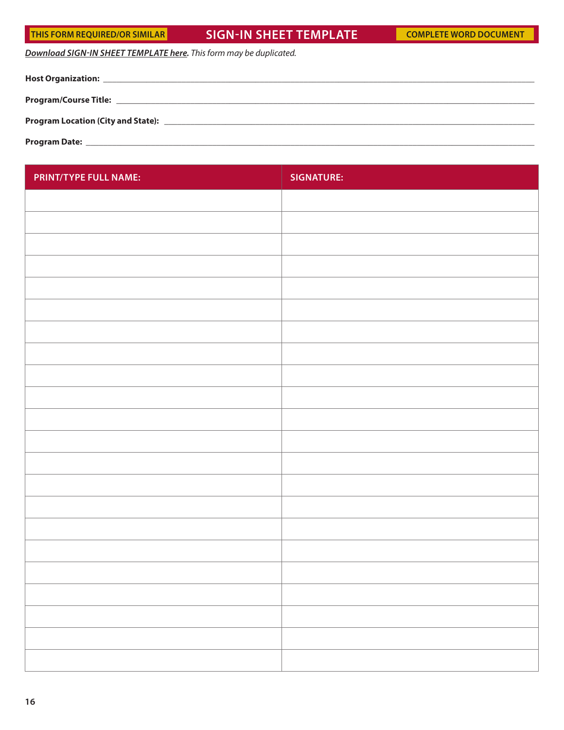# THIS FORM REQUIRED/OR SIMILAR **FORM SIGN-IN SHEET TEMPLATE [COMPLETE WORD DOCUMENT](https://documents.jcahpo.org/documents/education/Sign-In_Sheet_Template_IJCAHPO_CEC_Handbook_2020.docx)**

*[Download SIGN-IN SHEET TEMPLATE here](https://documents.jcahpo.org/documents/education/Sign-In_Sheet_Template_IJCAHPO_CEC_Handbook_2020.docx). This form may be duplicated.*

| <b>Program Date:</b> |
|----------------------|

| PRINT/TYPE FULL NAME: | <b>SIGNATURE:</b> |
|-----------------------|-------------------|
|                       |                   |
|                       |                   |
|                       |                   |
|                       |                   |
|                       |                   |
|                       |                   |
|                       |                   |
|                       |                   |
|                       |                   |
|                       |                   |
|                       |                   |
|                       |                   |
|                       |                   |
|                       |                   |
|                       |                   |
|                       |                   |
|                       |                   |
|                       |                   |
|                       |                   |
|                       |                   |
|                       |                   |
|                       |                   |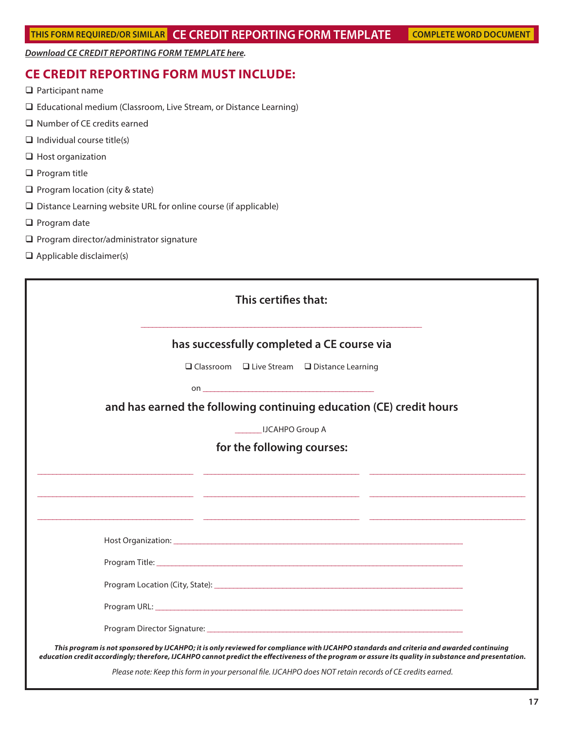*[Download CE CREDIT REPORTING FORM TEMPLATE here.](https://documents.jcahpo.org/documents/education/CE_Credit_Reporting_Form_Template_IJCAHPO_CEC_Handbook_2020.docx)*

# **CE CREDIT REPORTING FORM MUST INCLUDE:**

- **Q** Participant name
- Educational medium (Classroom, Live Stream, or Distance Learning)
- □ Number of CE credits earned
- $\Box$  Individual course title(s)
- □ Host organization
- $\Box$  Program title
- $\Box$  Program location (city & state)
- Distance Learning website URL for online course (if applicable)
- $\Box$  Program date
- $\square$  Program director/administrator signature
- $\Box$  Applicable disclaimer(s)

| This certifies that:                                                                                                                                                                                                                                                                             |
|--------------------------------------------------------------------------------------------------------------------------------------------------------------------------------------------------------------------------------------------------------------------------------------------------|
| has successfully completed a CE course via                                                                                                                                                                                                                                                       |
| $\Box$ Classroom $\Box$ Live Stream $\Box$ Distance Learning                                                                                                                                                                                                                                     |
|                                                                                                                                                                                                                                                                                                  |
| and has earned the following continuing education (CE) credit hours                                                                                                                                                                                                                              |
| <b>IDCAHPO Group A</b>                                                                                                                                                                                                                                                                           |
| for the following courses:                                                                                                                                                                                                                                                                       |
|                                                                                                                                                                                                                                                                                                  |
| <u> 1999 - 1999 - 1999 - 1999 - 1999 - 1999 - 1999 - 1999 - 1999 - 1999 - 1999 - 1999 - 1999 - 1999 - 1999 - 199</u>                                                                                                                                                                             |
|                                                                                                                                                                                                                                                                                                  |
|                                                                                                                                                                                                                                                                                                  |
|                                                                                                                                                                                                                                                                                                  |
|                                                                                                                                                                                                                                                                                                  |
|                                                                                                                                                                                                                                                                                                  |
|                                                                                                                                                                                                                                                                                                  |
| This program is not sponsored by IJCAHPO; it is only reviewed for compliance with IJCAHPO standards and criteria and awarded continuing<br>education credit accordingly; therefore, IJCAHPO cannot predict the effectiveness of the program or assure its quality in substance and presentation. |
| Please note: Keep this form in your personal file. IJCAHPO does NOT retain records of CE credits earned.                                                                                                                                                                                         |